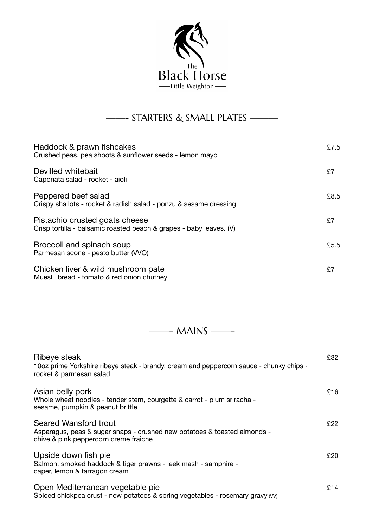

## ——- STARTERS & SMALL PLATES ———

| Haddock & prawn fishcakes<br>Crushed peas, pea shoots & sunflower seeds - lemon mayo                  | £7.5 |
|-------------------------------------------------------------------------------------------------------|------|
| Devilled whitebait<br>Caponata salad - rocket - aioli                                                 | £7   |
| Peppered beef salad<br>Crispy shallots - rocket & radish salad - ponzu & sesame dressing              | £8.5 |
| Pistachio crusted goats cheese<br>Crisp tortilla - balsamic roasted peach & grapes - baby leaves. (V) | £7   |
| Broccoli and spinach soup<br>Parmesan scone - pesto butter (VVO)                                      | £5.5 |
| Chicken liver & wild mushroom pate<br>Muesli bread - tomato & red onion chutney                       | £7   |

——- MAINS ——-

| Ribeye steak<br>10oz prime Yorkshire ribeye steak - brandy, cream and peppercorn sauce - chunky chips -<br>rocket & parmesan salad                | £32  |
|---------------------------------------------------------------------------------------------------------------------------------------------------|------|
| Asian belly pork<br>Whole wheat noodles - tender stem, courgette & carrot - plum sriracha -<br>sesame, pumpkin & peanut brittle                   | £16  |
| <b>Seared Wansford trout</b><br>Asparagus, peas & sugar snaps - crushed new potatoes & toasted almonds -<br>chive & pink peppercorn creme fraiche | £22. |
| Upside down fish pie<br>Salmon, smoked haddock & tiger prawns - leek mash - samphire -<br>caper, lemon & tarragon cream                           | £20. |
| Open Mediterranean vegetable pie<br>Spiced chickpea crust - new potatoes & spring vegetables - rosemary gravy (vv)                                | £14  |